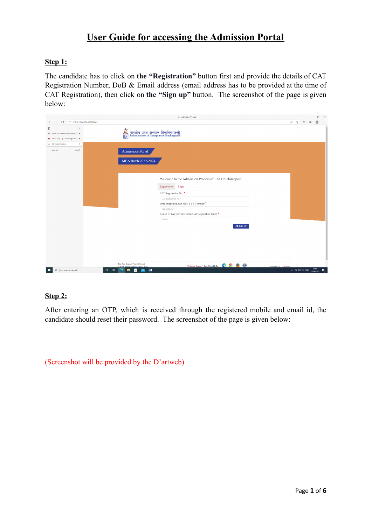# **User Guide for accessing the Admission Portal**

# **Step 1:**

The candidate has to click on **the "Registration"** button first and provide the details of CAT Registration Number, DoB & Email address (email address has to be provided at the time of CAT Registration), then click on **the "Sign up"** button. The screenshot of the page is given below:

| Admission Process                                                                                                                                                                                      |  |                                                                   | $\sigma$ | $\times$ |
|--------------------------------------------------------------------------------------------------------------------------------------------------------------------------------------------------------|--|-------------------------------------------------------------------|----------|----------|
| $\circ$<br>https://iimt.dhavalhost.com<br>$\leftarrow$                                                                                                                                                 |  | 八 泊 台 田                                                           | e        | $\cdots$ |
| O<br>$\langle$<br>भारतीय प्रबंध संस्थान तिरूचिरापल्ली<br>Indian Institute of Management Tiruchirappalli<br>M Inbox (9) - admissions@iimtrichy. X<br><b>IIM</b><br>M Inbox (19,623) - chandru@iimtric X |  |                                                                   |          |          |
| Admission Process<br>$\times$                                                                                                                                                                          |  |                                                                   |          |          |
| + New tab<br>$Ctrl + T$<br><b>Admissions Portal</b>                                                                                                                                                    |  |                                                                   |          |          |
| MBA Batch 2022-2024                                                                                                                                                                                    |  |                                                                   |          |          |
| Welcome to the Admission Process of IIM Tiruchirappalli                                                                                                                                                |  |                                                                   |          |          |
| Registration Login                                                                                                                                                                                     |  |                                                                   |          |          |
| CAT Registration No.                                                                                                                                                                                   |  |                                                                   |          |          |
| CAT Registration No.*                                                                                                                                                                                  |  |                                                                   |          |          |
| Date of Birth (in DD-MM-YYYY format) *                                                                                                                                                                 |  |                                                                   |          |          |
| Date of Birth*                                                                                                                                                                                         |  |                                                                   |          |          |
| E-mail ID (As provided in the CAT Application form)                                                                                                                                                    |  |                                                                   |          |          |
| E-mail*                                                                                                                                                                                                |  |                                                                   |          |          |
| +D SIGN UP                                                                                                                                                                                             |  |                                                                   |          |          |
|                                                                                                                                                                                                        |  |                                                                   |          |          |
|                                                                                                                                                                                                        |  |                                                                   |          |          |
|                                                                                                                                                                                                        |  |                                                                   |          |          |
|                                                                                                                                                                                                        |  |                                                                   |          |          |
|                                                                                                                                                                                                        |  |                                                                   |          |          |
| For Any Queries Please Contact                                                                                                                                                                         |  |                                                                   |          |          |
| Technical Support   Best Viewable In: (2000)<br>Developed By : D'arteweb<br>Email: admissions@iimtrichy.a<br>$\mathcal{P}$ Type here to search<br>$\circ$<br>量<br>÷<br>$W_1$<br>ы<br>۰<br>≂            |  | $\land$ $\oplus$ $\oplus$ $\oplus$ ENG $\frac{17:34}{28-04-2022}$ | 易        |          |

### **Step 2:**

After entering an OTP, which is received through the registered mobile and email id, the candidate should reset their password. The screenshot of the page is given below:

(Screenshot will be provided by the D'artweb)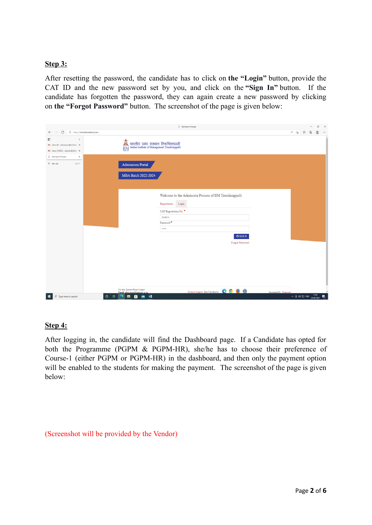# **Step 3:**

After resetting the password, the candidate has to click on **the "Login"** button, provide the CAT ID and the new password set by you, and click on the **"Sign In"** button. If the candidate has forgotten the password, they can again create a new password by clicking on **the "Forgot Password"** button. The screenshot of the page is given below:

|                                                                                                 | Admission Process                                                                                                                             |  |                                                                                                                                 | O | $\times$ |
|-------------------------------------------------------------------------------------------------|-----------------------------------------------------------------------------------------------------------------------------------------------|--|---------------------------------------------------------------------------------------------------------------------------------|---|----------|
| C<br>$\leftarrow$                                                                               | https://iimt.dhavalhost.com                                                                                                                   |  | $A^{\eta} \quad \, \uparrow \negthinspace \widehat{\otimes} \qquad \, \uparrow \negthinspace \widehat{\equiv} \qquad \bigoplus$ | G | $\cdots$ |
| O<br>$\langle$<br>M Inbox (9) - admissions@iimtrichy. X<br>M Inbox (19,623) - chandru@iimtric X | भारतीय प्रबंध संस्थान तिरूचिरापल्ली<br>Indian Institute of Management Tiruchirappalli<br>$\frac{2}{\text{Im}\Omega}$                          |  |                                                                                                                                 |   |          |
| Admission Process<br>$\times$                                                                   |                                                                                                                                               |  |                                                                                                                                 |   |          |
| + New tab<br>$Ctrl+T$                                                                           | <b>Admissions Portal</b>                                                                                                                      |  |                                                                                                                                 |   |          |
|                                                                                                 | MBA Batch 2022-2024                                                                                                                           |  |                                                                                                                                 |   |          |
|                                                                                                 |                                                                                                                                               |  |                                                                                                                                 |   |          |
|                                                                                                 | Welcome to the Admission Process of IIM Tiruchirappalli                                                                                       |  |                                                                                                                                 |   |          |
|                                                                                                 | Login<br>Registration                                                                                                                         |  |                                                                                                                                 |   |          |
|                                                                                                 | CAT Registration No.                                                                                                                          |  |                                                                                                                                 |   |          |
|                                                                                                 | 9049910                                                                                                                                       |  |                                                                                                                                 |   |          |
|                                                                                                 | Password <sup>*</sup><br>$\cdots$                                                                                                             |  |                                                                                                                                 |   |          |
|                                                                                                 |                                                                                                                                               |  |                                                                                                                                 |   |          |
|                                                                                                 | $\bullet$ 3 SIGN IN                                                                                                                           |  |                                                                                                                                 |   |          |
|                                                                                                 | Forgot Password                                                                                                                               |  |                                                                                                                                 |   |          |
|                                                                                                 |                                                                                                                                               |  |                                                                                                                                 |   |          |
|                                                                                                 |                                                                                                                                               |  |                                                                                                                                 |   |          |
|                                                                                                 |                                                                                                                                               |  |                                                                                                                                 |   |          |
|                                                                                                 |                                                                                                                                               |  |                                                                                                                                 |   |          |
|                                                                                                 |                                                                                                                                               |  |                                                                                                                                 |   |          |
|                                                                                                 |                                                                                                                                               |  |                                                                                                                                 |   |          |
|                                                                                                 | For Any Queries Please Contact<br>Technical Support   Best Viewable In: 0 0 0 0<br>Developed By : D'arteweb<br>Email: admissions@iimtrichy.ac |  |                                                                                                                                 |   |          |
| F   O Type here to search                                                                       | $\Xi$<br>$\circ$<br><b>P</b><br>$\mathbf{w}$<br>в<br>в<br>◚                                                                                   |  | $\sim$ $\frac{6}{9}$ di $\frac{17}{2}$ ENG $\frac{1749}{28 \cdot 04 \cdot 2022}$                                                | 晶 |          |

### **Step 4:**

After logging in, the candidate will find the Dashboard page. If a Candidate has opted for both the Programme (PGPM & PGPM-HR), she/he has to choose their preference of Course-1 (either PGPM or PGPM-HR) in the dashboard, and then only the payment option will be enabled to the students for making the payment. The screenshot of the page is given below:

# (Screenshot will be provided by the Vendor)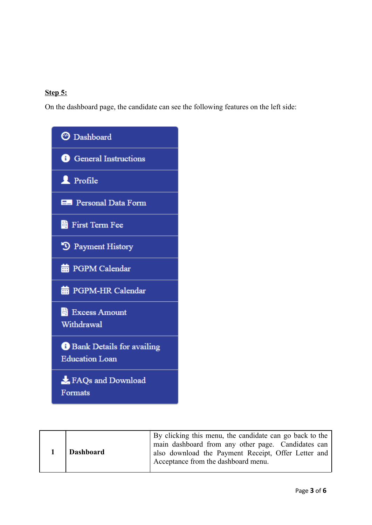# **Step 5:**

On the dashboard page, the candidate can see the following features on the left side:



| 1 Dashboard | By clicking this menu, the candidate can go back to the<br>main dashboard from any other page. Candidates can<br>also download the Payment Receipt, Offer Letter and<br>Acceptance from the dashboard menu. |
|-------------|-------------------------------------------------------------------------------------------------------------------------------------------------------------------------------------------------------------|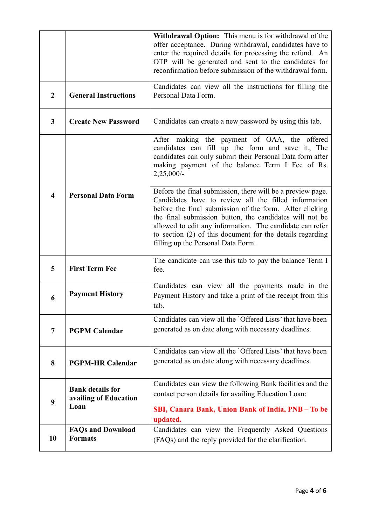|                         |                                                          | Withdrawal Option: This menu is for withdrawal of the<br>offer acceptance. During withdrawal, candidates have to<br>enter the required details for processing the refund. An<br>OTP will be generated and sent to the candidates for<br>reconfirmation before submission of the withdrawal form.                                                                                                        |  |  |  |
|-------------------------|----------------------------------------------------------|---------------------------------------------------------------------------------------------------------------------------------------------------------------------------------------------------------------------------------------------------------------------------------------------------------------------------------------------------------------------------------------------------------|--|--|--|
| $\overline{2}$          | <b>General Instructions</b>                              | Candidates can view all the instructions for filling the<br>Personal Data Form.                                                                                                                                                                                                                                                                                                                         |  |  |  |
| $\mathbf{3}$            | <b>Create New Password</b>                               | Candidates can create a new password by using this tab.                                                                                                                                                                                                                                                                                                                                                 |  |  |  |
|                         |                                                          | After making the payment of OAA, the offered<br>candidates can fill up the form and save it., The<br>candidates can only submit their Personal Data form after<br>making payment of the balance Term I Fee of Rs.<br>$2,25,000/-$                                                                                                                                                                       |  |  |  |
| $\overline{\mathbf{4}}$ | <b>Personal Data Form</b>                                | Before the final submission, there will be a preview page.<br>Candidates have to review all the filled information<br>before the final submission of the form. After clicking<br>the final submission button, the candidates will not be<br>allowed to edit any information. The candidate can refer<br>to section (2) of this document for the details regarding<br>filling up the Personal Data Form. |  |  |  |
| 5                       | <b>First Term Fee</b>                                    | The candidate can use this tab to pay the balance Term I<br>fee.                                                                                                                                                                                                                                                                                                                                        |  |  |  |
| 6                       | <b>Payment History</b>                                   | Candidates can view all the payments made in the<br>Payment History and take a print of the receipt from this<br>tab.                                                                                                                                                                                                                                                                                   |  |  |  |
| $\overline{7}$          | <b>PGPM Calendar</b>                                     | Candidates can view all the 'Offered Lists' that have been<br>generated as on date along with necessary deadlines.                                                                                                                                                                                                                                                                                      |  |  |  |
| 8                       | <b>PGPM-HR Calendar</b>                                  | Candidates can view all the 'Offered Lists' that have been<br>generated as on date along with necessary deadlines.                                                                                                                                                                                                                                                                                      |  |  |  |
| 9                       | <b>Bank details for</b><br>availing of Education<br>Loan | Candidates can view the following Bank facilities and the<br>contact person details for availing Education Loan:<br>SBI, Canara Bank, Union Bank of India, PNB - To be<br>updated.                                                                                                                                                                                                                      |  |  |  |
| 10                      | <b>FAQs and Download</b><br><b>Formats</b>               | Candidates can view the Frequently Asked Questions<br>(FAQs) and the reply provided for the clarification.                                                                                                                                                                                                                                                                                              |  |  |  |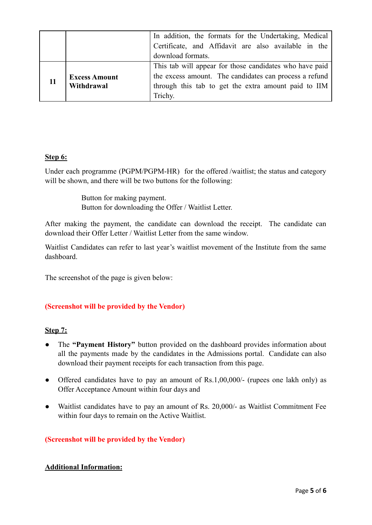|                                    | In addition, the formats for the Undertaking, Medical   |
|------------------------------------|---------------------------------------------------------|
|                                    | Certificate, and Affidavit are also available in the    |
|                                    | download formats.                                       |
| <b>Excess Amount</b><br>Withdrawal | This tab will appear for those candidates who have paid |
|                                    | the excess amount. The candidates can process a refund  |
|                                    | through this tab to get the extra amount paid to IIM    |
|                                    | Trichy.                                                 |

### **Step 6:**

Under each programme (PGPM/PGPM-HR) for the offered /waitlist; the status and category will be shown, and there will be two buttons for the following:

> Button for making payment. Button for downloading the Offer / Waitlist Letter.

After making the payment, the candidate can download the receipt. The candidate can download their Offer Letter / Waitlist Letter from the same window.

Waitlist Candidates can refer to last year's waitlist movement of the Institute from the same dashboard.

The screenshot of the page is given below:

# **(Screenshot will be provided by the Vendor)**

### **Step 7:**

- The **"Payment History"** button provided on the dashboard provides information about all the payments made by the candidates in the Admissions portal. Candidate can also download their payment receipts for each transaction from this page.
- Offered candidates have to pay an amount of Rs.1,00,000/- (rupees one lakh only) as Offer Acceptance Amount within four days and
- Waitlist candidates have to pay an amount of Rs. 20,000/- as Waitlist Commitment Fee within four days to remain on the Active Waitlist.

### **(Screenshot will be provided by the Vendor)**

### **Additional Information:**